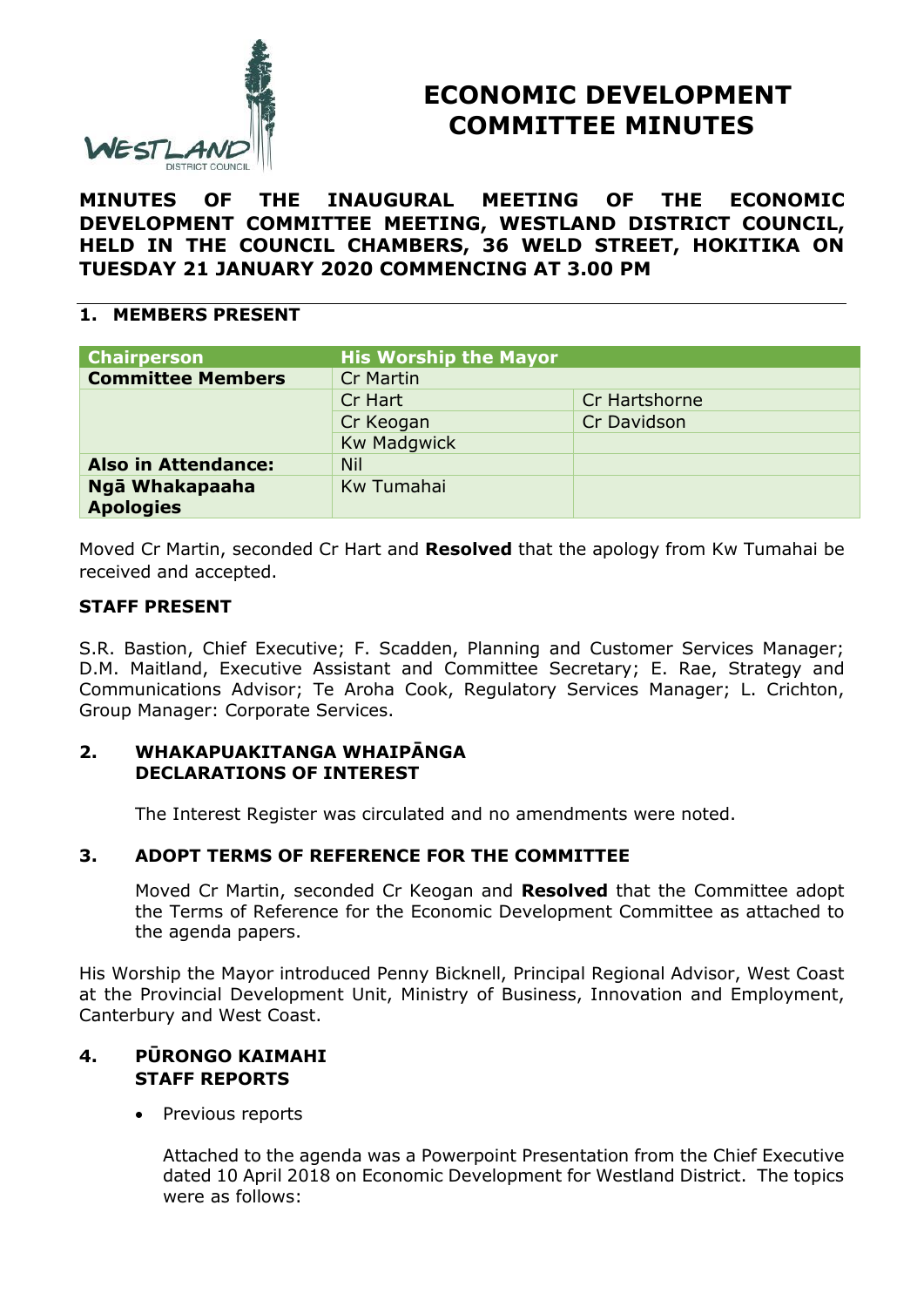

# **ECONOMIC DEVELOPMENT COMMITTEE MINUTES**

**MINUTES OF THE INAUGURAL MEETING OF THE ECONOMIC DEVELOPMENT COMMITTEE MEETING, WESTLAND DISTRICT COUNCIL, HELD IN THE COUNCIL CHAMBERS, 36 WELD STREET, HOKITIKA ON TUESDAY 21 JANUARY 2020 COMMENCING AT 3.00 PM**

## **1. MEMBERS PRESENT**

| <b>His Worship the Mayor</b> |               |
|------------------------------|---------------|
| <b>Cr Martin</b>             |               |
| Cr Hart                      | Cr Hartshorne |
| Cr Keogan                    | Cr Davidson   |
| <b>Kw Madgwick</b>           |               |
| <b>Nil</b>                   |               |
| Kw Tumahai                   |               |
|                              |               |

Moved Cr Martin, seconded Cr Hart and **Resolved** that the apology from Kw Tumahai be received and accepted.

## **STAFF PRESENT**

S.R. Bastion, Chief Executive; F. Scadden, Planning and Customer Services Manager; D.M. Maitland, Executive Assistant and Committee Secretary; E. Rae, Strategy and Communications Advisor; Te Aroha Cook, Regulatory Services Manager; L. Crichton, Group Manager: Corporate Services.

#### **2. WHAKAPUAKITANGA WHAIPĀNGA DECLARATIONS OF INTEREST**

The Interest Register was circulated and no amendments were noted.

# **3. ADOPT TERMS OF REFERENCE FOR THE COMMITTEE**

Moved Cr Martin, seconded Cr Keogan and **Resolved** that the Committee adopt the Terms of Reference for the Economic Development Committee as attached to the agenda papers.

His Worship the Mayor introduced Penny Bicknell, Principal Regional Advisor, West Coast at the Provincial Development Unit, Ministry of Business, Innovation and Employment, Canterbury and West Coast.

## **4. PŪRONGO KAIMAHI STAFF REPORTS**

• Previous reports

Attached to the agenda was a Powerpoint Presentation from the Chief Executive dated 10 April 2018 on Economic Development for Westland District. The topics were as follows: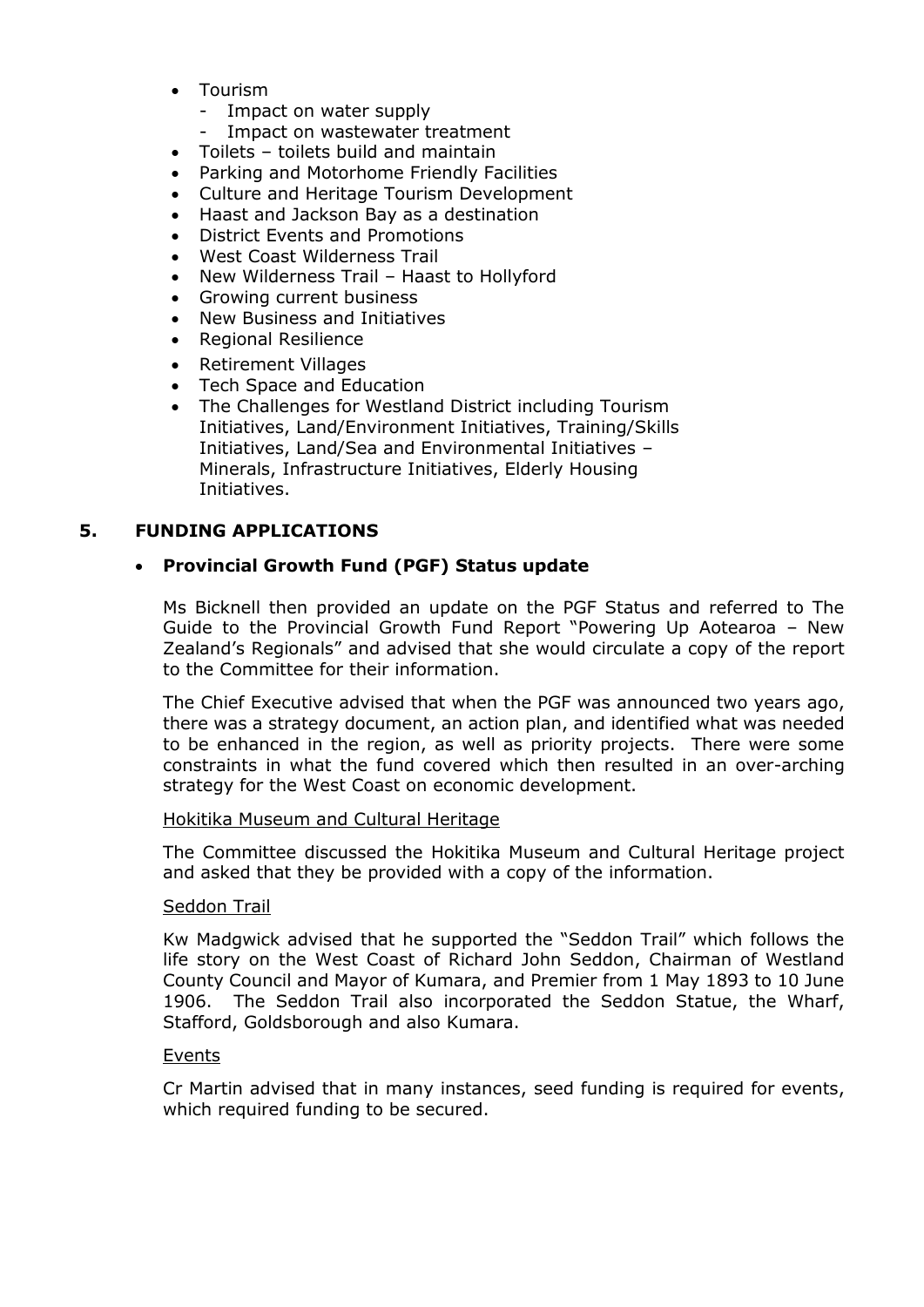- Tourism
	- Impact on water supply
	- Impact on wastewater treatment
	- Toilets toilets build and maintain
- Parking and Motorhome Friendly Facilities
- Culture and Heritage Tourism Development
- Haast and Jackson Bay as a destination
- District Events and Promotions
- West Coast Wilderness Trail
- New Wilderness Trail Haast to Hollyford
- Growing current business
- New Business and Initiatives
- Regional Resilience
- Retirement Villages
- Tech Space and Education
- The Challenges for Westland District including Tourism Initiatives, Land/Environment Initiatives, Training/Skills Initiatives, Land/Sea and Environmental Initiatives – Minerals, Infrastructure Initiatives, Elderly Housing Initiatives.

# **5. FUNDING APPLICATIONS**

# **Provincial Growth Fund (PGF) Status update**

Ms Bicknell then provided an update on the PGF Status and referred to The Guide to the Provincial Growth Fund Report "Powering Up Aotearoa – New Zealand's Regionals" and advised that she would circulate a copy of the report to the Committee for their information.

The Chief Executive advised that when the PGF was announced two years ago, there was a strategy document, an action plan, and identified what was needed to be enhanced in the region, as well as priority projects. There were some constraints in what the fund covered which then resulted in an over-arching strategy for the West Coast on economic development.

#### Hokitika Museum and Cultural Heritage

The Committee discussed the Hokitika Museum and Cultural Heritage project and asked that they be provided with a copy of the information.

#### Seddon Trail

Kw Madgwick advised that he supported the "Seddon Trail" which follows the life story on the West Coast of Richard John Seddon, Chairman of Westland County Council and Mayor of Kumara, and Premier from 1 May 1893 to 10 June 1906. The Seddon Trail also incorporated the Seddon Statue, the Wharf, Stafford, Goldsborough and also Kumara.

#### Events

Cr Martin advised that in many instances, seed funding is required for events, which required funding to be secured.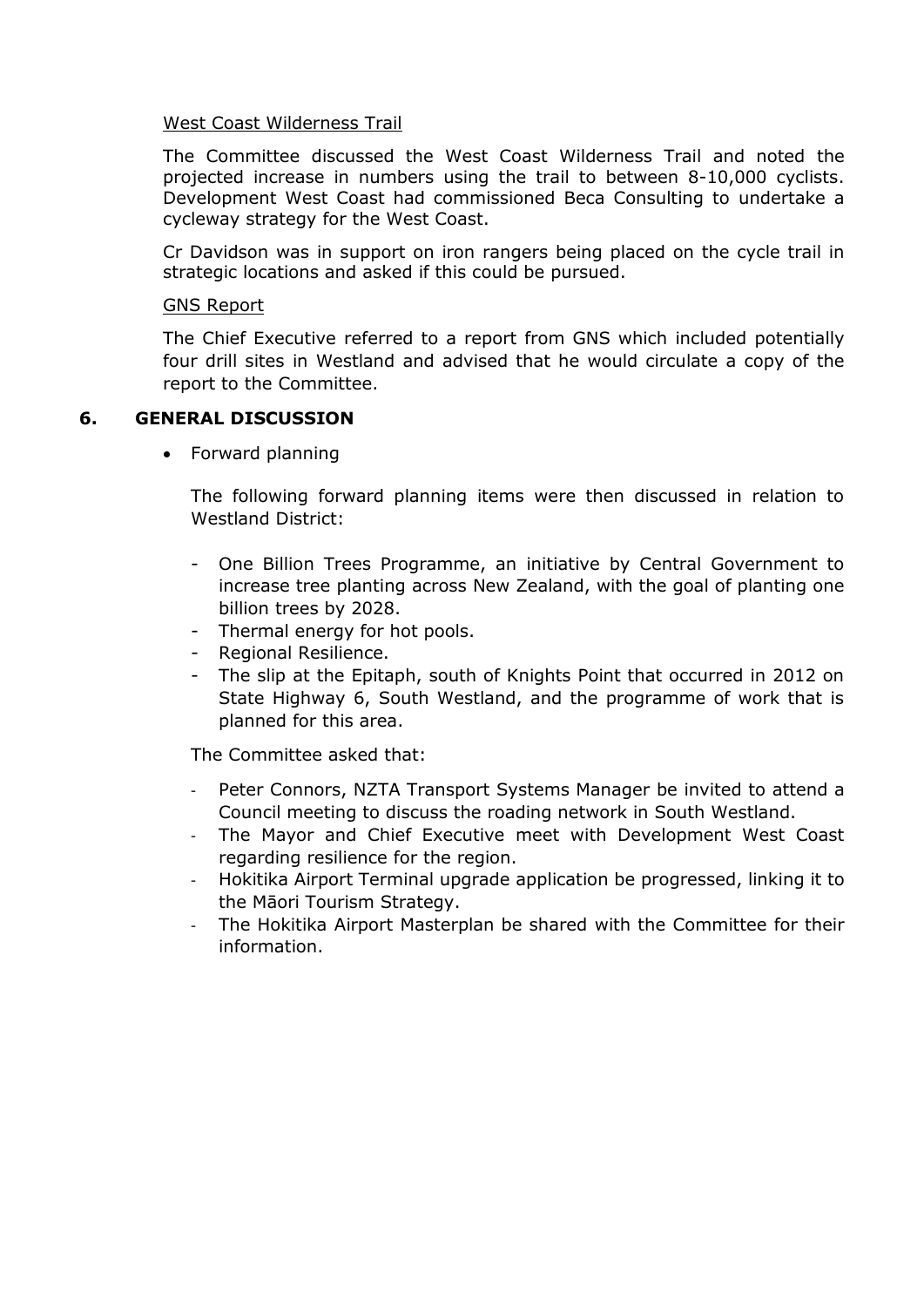#### West Coast Wilderness Trail

The Committee discussed the West Coast Wilderness Trail and noted the projected increase in numbers using the trail to between 8-10,000 cyclists. Development West Coast had commissioned Beca Consulting to undertake a cycleway strategy for the West Coast.

Cr Davidson was in support on iron rangers being placed on the cycle trail in strategic locations and asked if this could be pursued.

#### GNS Report

The Chief Executive referred to a report from GNS which included potentially four drill sites in Westland and advised that he would circulate a copy of the report to the Committee.

# **6. GENERAL DISCUSSION**

• Forward planning

The following forward planning items were then discussed in relation to Westland District:

- One Billion Trees Programme, an initiative by Central Government to increase tree planting across New Zealand, with the goal of planting one billion trees by 2028.
- Thermal energy for hot pools.
- Regional Resilience.
- The slip at the Epitaph, south of Knights Point that occurred in 2012 on State Highway 6, South Westland, and the programme of work that is planned for this area.

The Committee asked that:

- Peter Connors, NZTA Transport Systems Manager be invited to attend a Council meeting to discuss the roading network in South Westland.
- The Mayor and Chief Executive meet with Development West Coast regarding resilience for the region.
- Hokitika Airport Terminal upgrade application be progressed, linking it to the Māori Tourism Strategy.
- The Hokitika Airport Masterplan be shared with the Committee for their information.